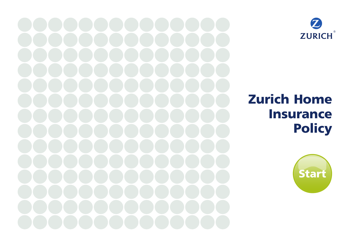



# Zurich Home Insurance **Policy**

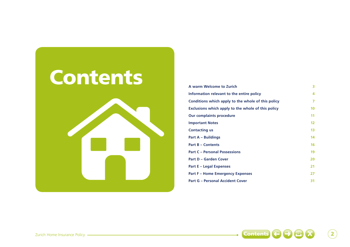

| A warm Welcome to Zurich                           | 3                 |
|----------------------------------------------------|-------------------|
| Information relevant to the entire policy          | 4                 |
| Conditions which apply to the whole of this policy |                   |
| Exclusions which apply to the whole of this policy | 10                |
| <b>Our complaints procedure</b>                    | 11                |
| <b>Important Notes</b>                             | $12 \overline{ }$ |
| <b>Contacting us</b>                               | 13                |
| Part A – Buildings                                 | 14                |
| <b>Part B - Contents</b>                           | 16                |
| <b>Part C - Personal Possessions</b>               | 19                |
| <b>Part D - Garden Cover</b>                       | 20                |
| Part E – Legal Expenses                            | 21                |
| <b>Part F - Home Emergency Expenses</b>            | 27                |
| <b>Part G - Personal Accident Cover</b>            | 31                |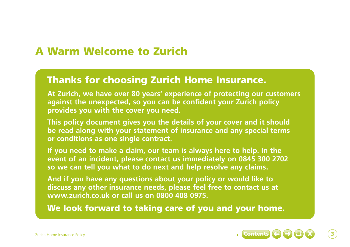## A Warm Welcome to Zurich

## Thanks for choosing Zurich Home Insurance.

**At Zurich, we have over 80 years' experience of protecting our customers against the unexpected, so you can be confident your Zurich policy provides you with the cover you need.**

**This policy document gives you the details of your cover and it should be read along with your statement of insurance and any special terms or conditions as one single contract.** 

**If you need to make a claim, our team is always here to help. In the event of an incident, please contact us immediately on 0845 300 2702 so we can tell you what to do next and help resolve any claims.**

**And if you have any questions about your policy or would like to discuss any other insurance needs, please feel free to contact us at www.zurich.co.uk or call us on 0800 408 0975.** 

We look forward to taking care of you and your home.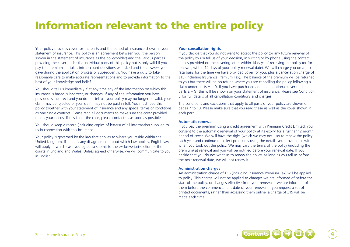## Information relevant to the entire policy

Your policy provides cover for the parts and the period of insurance shown in your statement of insurance. This policy is an agreement between you (the person shown in the statement of insurance as the policyholder) and the various parties providing the cover under the individual parts of this policy but is only valid if you pay the premiums. It takes into account questions we asked and the answers you gave during the application process or subsequently. You have a duty to take reasonable care to make accurate representations and to provide information to the best of your knowledge and belief.

You should tell us immediately if at any time any of the information on which this insurance is based is incorrect, or changes. If any of the information you have provided is incorrect and you do not tell us, your policy may no longer be valid, your claim may be rejected or your claim may not be paid in full. You must read this policy together with your statement of insurance and any special terms or conditions as one single contract. Please read all documents to make sure the cover provided meets your needs. If this is not the case, please contact us as soon as possible.

You should keep a record (including copies of letters) of all information supplied to us in connection with this insurance.

Your policy is governed by the law that applies to where you reside within the United Kingdom. If there is any disagreement about which law applies, English law will apply in which case you agree to submit to the exclusive jurisdiction of the courts in England and Wales. Unless agreed otherwise, we will communicate to you in English.

## **Your cancellation rights**

If you decide that you do not want to accept the policy (or any future renewal of the policy by us) tell us of your decision, in writing or by phone using the contact details provided on the covering letter within 14 days of receiving the policy (or for renewal, within 14 days of your policy renewal date). We will charge you on a pro rata basis for the time we have provided cover for you, plus a cancellation charge of £15 (including Insurance Premium Tax). The balance of the premium will be returned to you but there will be no refund where you are cancelling the policy following a claim under parts A – D. If you have purchased additional optional cover under parts E – G, this will be shown on your statement of insurance. Please see Condition 5 for full details of all cancellation conditions and charges.

The conditions and exclusions that apply to all parts of your policy are shown on pages 7 to 10. Please make sure that you read these as well as the cover shown in each part.

## **Automatic renewal**

If you pay the premium using a credit agreement with Premium Credit Limited, you consent to the automatic renewal of your policy at its expiry for a further 12 month period of cover. We will have the right (which we may not use) to renew the policy each year and continue to collect premiums using the details you provided us with when you took out the policy. We may vary the terms of the policy (including the premium) at renewal and you will be notified before your renewal date. If you decide that you do not want us to renew the policy, as long as you tell us before the next renewal date, we will not renew it.

## **Administration charges**

An administration charge of £15 (including Insurance Premium Tax) will be applied to policy. This charge will not be applied to changes we are informed of before the start of the policy, or changes effective from your renewal if we are informed of them before the commencement date of your renewal. If you request a set of printed documents, rather than accessing them online, a charge of £15 will be made each time.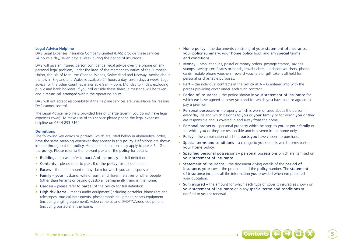#### **Legal Advice Helpline**

DAS Legal Expenses Insurance Company Limited (DAS) provide these services 24 hours a day, seven days a week during the period of insurance.

DAS will give an insured person confidential legal advice over the phone on any personal legal problem, under the laws of the member countries of the European Union, the Isle of Man, the Channel Islands, Switzerland and Norway. Advice about the law in England and Wales is available 24 hours a day, seven days a week. Legal advice for the other countries is available 9am – 5pm, Monday to Friday, excluding public and bank holidays. If you call outside these times, a message will be taken and a return call arranged within the operating hours.

DAS will not accept responsibility if the helpline services are unavailable for reasons DAS cannot control.

The Legal Advice helpline is provided free of charge (even if you do not have legal expenses cover). To make use of this service please phone the legal expenses helpline on 0844 893 8164.

#### **Definitions**

The following key words or phrases, which are listed below in alphabetical order, have the same meaning whenever they appear in this policy. Definitions are shown in bold throughout the **policy**. Additional definitions may apply to **parts**  $E - G$  of the policy. Please refer to the relevant parts of the policy for details.

- Buildings please refer to part A of the policy for full definition.
- Contents please refer to part B of the policy for full definition.
- Excess the first amount of any claim for which you are responsible.
- Family your husband, wife or partner, children, relatives or other people (other than tenants or paying guests) all permanently living in the home.
- Garden please refer to part D of the policy for full definition.
- High risk items means audio equipment (including portable), binoculars and telescopes, musical instruments, photographic equipment, sports equipment (including angling equipment), video cameras and DVD/TV/video equipment (including portable) in the home.
- Home policy the documents consisting of your statement of insurance, your policy summary, your home policy book and any special terms and conditions.
- Money cash, cheques, postal or money orders, postage stamps, savings stamps, savings certificates or bonds, travel tickets, luncheon vouchers, phone cards, mobile phone vouchers, reward vouchers or gift tokens all held for personal or charitable purposes.
- Part the individual contracts in the policy at  $A G$  entered into with the parties providing cover under each such contract.
- Period of insurance the period shown in your statement of insurance for which we have agreed to cover you and for which you have paid or agreed to pay a premium.
- Personal possessions property which is worn or used about the person in every day life and which belongs to you or your family or for which you or they are responsible and is covered in and away from the home.
- Personal property personal property which belongs to you or your family or for which you or they are responsible and is covered in the home only.
- Policy the combination of all the parts you have chosen to purchase.
- Special terms and conditions a change to your details which forms part of your home policy.
- Specified personal possessions personal possessions which are itemised on your statement of insurance.
- Statement of insurance the document giving details of the period of insurance, your cover, the premium and the policy number. The statement of insurance includes all the information you provided when we prepared your quotation.
- Sum insured the amount for which each type of cover is insured as shown on your statement of insurance or in any special terms and conditions or notified to you at renewal.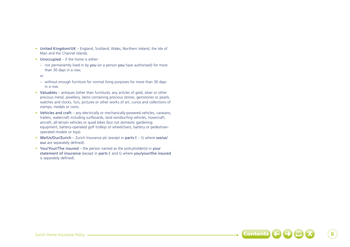- United Kingdom/UK England, Scotland, Wales, Northern Ireland, the Isle of Man and the Channel Islands.
- Unoccupied if the home is either:
	- not permanently lived in by you (or a person you have authorised) for more than 30 days in a row;
	- or
	- without enough furniture for normal living purposes for more than 30 days in a row.
- Valuables antiques (other than furniture), any articles of gold, silver or other precious metal, jewellery, items containing precious stones, gemstones or pearls, watches and clocks, furs, pictures or other works of art, curios and collections of stamps, medals or coins.
- Vehicles and craft any electrically or mechanically-powered vehicles, caravans, trailers, watercraft including surfboards, land windsurfing vehicles, hovercraft, aircraft, all-terrain vehicles or quad bikes (but not domestic gardening equipment, battery-operated golf trolleys or wheelchairs, battery or pedestrianoperated models or toys).
- We/Us/Our/Zurich Zurich Insurance plc (except in parts  $E G$  where we/us/ our are separately defined).
- You/Your/The insured the person named as the policyholder(s) in your statement of insurance (except in parts E and G where you/your/the insured is separately defined).

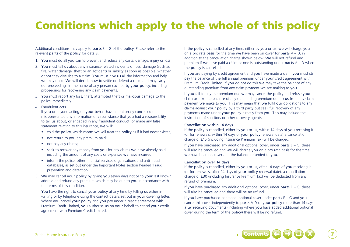## Conditions which apply to the whole of this policy

Additional conditions may apply to parts  $E - G$  of the policy. Please refer to the relevant parts of the policy for details.

- 1. You must do all you can to prevent and reduce any costs, damage, injury or loss.
- 2. You must tell us about any insurance related incidents of loss, damage (such as fire, water damage, theft or an accident) or liability as soon as possible, whether or not they give rise to a claim. You must give us all the information and help we may need. We will decide how to settle or defend a claim and may carry out proceedings in the name of any person covered by your policy, including proceedings for recovering any claim payments.
- 3. You must report any loss, theft, attempted theft or malicious damage to the police immediately.
- 4. Fraudulent acts

If you or anyone acting on your behalf have intentionally concealed or misrepresented any information or circumstance that you had a responsibility to tell us about, or engaged in any fraudulent conduct, or made any false statement relating to this insurance, we will:

- void the **policy**, which means we will treat the **policy** as if it had never existed;
- not return to you any premium paid;
- not pay any claims;
- seek to recover any money from you for any claims we have already paid, including the amount of any costs or expenses we have incurred;
- inform the police, other financial services organisations and anti-fraud databases, as set out under the Important Notes section headed 'Fraud prevention and detection'.
- 5. We may cancel your policy by giving you seven days notice to your last known address and refund any premium which may be due to you in accordance with the terms of this condition.

You have the right to cancel your policy at any time by telling us either in writing or by telephone using the contact details set out in your covering letter. Where you cancel your policy and you pay under a credit agreement with Premium Credit Limited, you authorise us on your behalf to cancel your credit agreement with Premium Credit Limited.

If the policy is cancelled at any time, either by you or us, we will charge you on a pro rata basis for the time we have been on cover for parts  $A - D$ , in addition to the cancellation charge shown below. We will not refund any premium if we have paid a claim or one is outstanding under parts  $A - D$  when the policy is cancelled.

If you are paying by credit agreement and you have made a claim you must still pay the balance of the full annual premium under your credit agreement with Premium Credit Limited. If you do not do this we may take the balance of any outstanding premium from any claim payment we are making to you.

If you fail to pay the premium due we may cancel the policy and refuse your claim or take the balance of any outstanding premium due to us from any claim payment we make to you. This may mean that we fulfil our obligations to any claims against your policy by a third party but seek full recovery of any payments made under your policy directly from you. This may include the instruction of solicitors or other recovery agents.

### Cancellation within 14 days

If the policy is cancelled, either by you or us, within 14 days of you receiving it (or for renewals, within 14 days of your policy renewal date) a cancellation charge of £15 (including Insurance Premium Tax) will be charged.

If you have purchased any additional optional cover, under parts  $E - G$ , these will also be cancelled and we will charge you on a pro rata basis for the time we have been on cover and the balance refunded to you.

### Cancellation over 14 days

If the policy is cancelled, either by you or us, after 14 days of you receiving it (or for renewals, after 14 days of your policy renewal date), a cancellation charge of £30 (including Insurance Premium Tax) will be deducted from any refund of premium.

If you have purchased any additional optional cover, under parts  $E - G$ , these will also be cancelled and there will be no refund.

If you have purchased additional optional cover under parts  $E - G$  and you cancel this cover independently to parts A-D of your policy more than 14 days after receiving documents (including where you have added additional optional cover during the term of the policy) there will be no refund.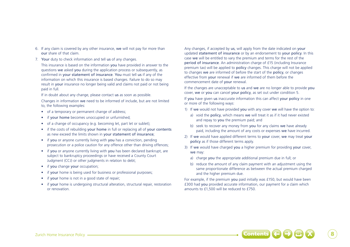- 6. If any claim is covered by any other insurance, we will not pay for more than our share of that claim.
- 7. Your duty to check information and tell us of any changes.

This insurance is based on the information you have provided in answer to the questions we asked you during the application process or subsequently, as confirmed in your statement of insurance. You must tell us if any of the information on which this insurance is based changes. Failure to do so may result in your insurance no longer being valid and claims not paid or not being paid in full.

If in doubt about any change, please contact us as soon as possible.

Changes in information we need to be informed of include, but are not limited to, the following examples:

- of a temporary or permanent change of address;
- if your home becomes unoccupied or unfurnished:
- of a change of occupancy (e.g. becoming let, part let or sublet);
- if the costs of rebuilding your home in full or replacing all of your contents as new exceed the limits shown in your statement of insurance;
- if you or anyone currently living with you has a conviction, pending prosecution or a police caution for any offence other than driving offences;
- if you or anyone currently living with you has been declared bankrupt, are subject to bankruptcy proceedings or have received a County Court Judgment (CCJ) or other judgments in relation to debt;
- if you change your occupation:
- if your home is being used for business or professional purposes;
- if your home is not in a good state of repair;
- if your home is undergoing structural alteration, structural repair, restoration or renovation.

Any changes, if accepted by us, will apply from the date indicated on your updated statement of insurance or by an endorsement to your policy. In this case we will be entitled to vary the premium and terms for the rest of the period of insurance. An administration charge of £15 (including Insurance premium tax) will be applied to policy changes. This charge will not be applied to changes we are informed of before the start of the policy, or changes effective from your renewal if we are informed of them before the commencement date of your renewal.

If the changes are unacceptable to us and we are no longer able to provide you cover, we or you can cancel your policy, as set out under condition 5.

If you have given us inaccurate information this can affect your policy in one or more of the following ways:

- 1) If we would not have provided you with any cover we will have the option to:
	- a) void the **policy**, which means we will treat it as if it had never existed and repay to you the premium paid; and
	- b) seek to recover any money from you for any claims we have already paid, including the amount of any costs or expenses we have incurred.
- 2) If we would have applied different terms to your cover, we may treat your policy as if those different terms apply.
- 3) If we would have charged you a higher premium for providing your cover, we may:
	- a) charge you the appropriate additional premium due in full; or
	- b) reduce the amount of any claim payment with an adjustment using the same proportionate difference as between the actual premium charged and the higher premium due.

For example, if the premium you paid initially was £150, but would have been £300 had you provided accurate information, our payment for a claim which amounts to £1,500 will be reduced to £750.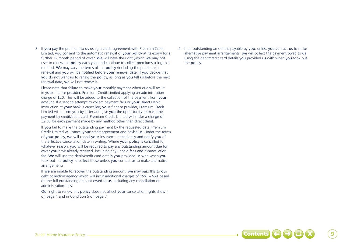8. If you pay the premium to us using a credit agreement with Premium Credit Limited, you consent to the automatic renewal of your policy at its expiry for a further 12 month period of cover. We will have the right (which we may not use) to renew the policy each year and continue to collect premiums using this method. We may vary the terms of the policy (including the premium) at renewal and you will be notified before your renewal date. If you decide that you do not want us to renew the policy, as long as you tell us before the next renewal date, we will not renew it.

Please note that failure to make your monthly payment when due will result in your finance provider, Premium Credit Limited applying an administration charge of £20. This will be added to the collection of the payment from your account. If a second attempt to collect payment fails or your Direct Debit Instruction at your bank is cancelled, your finance provider, Premium Credit Limited will inform you by letter and give you the opportunity to make the payment by credit/debit card. Premium Credit Limited will make a charge of £2.50 for each payment made by any method other than direct debit.

If you fail to make the outstanding payment by the requested date, Premium Credit Limited will cancel your credit agreement and advise us. Under the terms of your policy, we will cancel your insurance immediately and notify you of the effective cancellation date in writing. Where your policy is cancelled for whatever reason, you will be required to pay any outstanding amount due for cover you have already received, including any unpaid fees and a cancellation fee. We will use the debit/credit card details you provided us with when you took out the policy to collect these unless you contact us to make alternative arrangements.

If we are unable to recover the outstanding amount, we may pass this to our debt collection agency which will incur additional charges of 15% + VAT based on the full outstanding amount owed to us, including any cancellation or administration fees.

Our right to renew this policy does not affect your cancellation rights shown on page 4 and in Condition 5 on page 7.

9. If an outstanding amount is payable by you, unless you contact us to make alternative payment arrangements, we will collect the payment owed to us using the debit/credit card details you provided us with when you took out the policy.

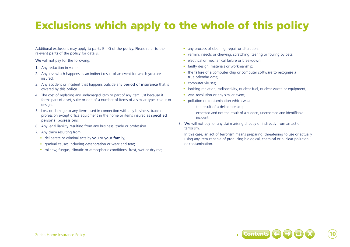## Exclusions which apply to the whole of this policy

Additional exclusions may apply to **parts**  $E - G$  of the **policy**. Please refer to the relevant parts of the policy for details.

We will not pay for the following.

- 1. Any reduction in value.
- 2. Any loss which happens as an indirect result of an event for which you are insured.
- 3. Any accident or incident that happens outside any period of insurance that is covered by this policy.
- 4. The cost of replacing any undamaged item or part of any item just because it forms part of a set, suite or one of a number of items of a similar type, colour or design.
- 5. Loss or damage to any items used in connection with any business, trade or profession except office equipment in the home or items insured as specified personal possessions.
- 6. Any legal liability resulting from any business, trade or profession.
- 7. Any claim resulting from:
	- deliberate or criminal acts by you or your family;
	- gradual causes including deterioration or wear and tear:
	- mildew, fungus, climatic or atmospheric conditions, frost, wet or dry rot;
- any process of cleaning, repair or alteration:
- vermin, insects or chewing, scratching, tearing or fouling by pets:
- electrical or mechanical failure or breakdown:
- faulty design, materials or workmanship;
- the failure of a computer chip or computer software to recognise a true calendar date;
- computer viruses:
- ionising radiation, radioactivity, nuclear fuel, nuclear waste or equipment;
- war, revolution or any similar event:
- pollution or contamination which was:
	- the result of a deliberate act;
	- expected and not the result of a sudden, unexpected and identifiable incident.
- 8. We will not pay for any claim arising directly or indirectly from an act of terrorism.

In this case, an act of terrorism means preparing, threatening to use or actually using any item capable of producing biological, chemical or nuclear pollution or contamination.

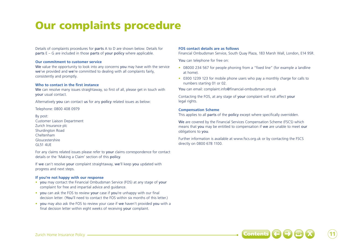## Our complaints procedure

Details of complaints procedures for parts A to D are shown below. Details for parts E – G are included in those parts of your policy where applicable.

## **Our commitment to customer service**

We value the opportunity to look into any concerns you may have with the service we've provided and we're committed to dealing with all complaints fairly, consistently and promptly.

## **Who to contact in the first instance**

We can resolve many issues straightaway, so first of all, please get in touch with your usual contact.

Alternatively you can contact us for any policy related issues as below:

Telephone: 0800 408 0979

By post: Customer Liaison Department Zurich Insurance plc Shurdington Road Cheltenham Gloucestershire GL51 4UE

For any claims related issues please refer to your claims correspondence for contact details or the 'Making a Claim' section of this policy.

If we can't resolve your complaint straightaway, we'll keep you updated with progress and next steps.

## **If you're not happy with our response**

- you may contact the Financial Ombudsman Service (FOS) at any stage of your complaint for free and impartial advice and guidance.
- you can ask the FOS to review your case if you're unhappy with our final decision letter. (You'll need to contact the FOS within six months of this letter.)
- you may also ask the FOS to review your case if we haven't provided you with a final decision letter within eight weeks of receiving your complaint.

## **FOS contact details are as follows**

Financial Ombudsman Service, South Quay Plaza, 183 Marsh Wall, London, E14 9SR.

You can telephone for free on:

- 08000 234 567 for people phoning from a "fixed line" (for example a landline at home).
- 0300 1239 123 for mobile phone users who pay a monthly charge for calls to numbers starting 01 or 02.

You can email: complaint.info@financial-ombudsman.org.uk

Contacting the FOS, at any stage of your complaint will not affect your legal rights.

## **Compensation Scheme**

This applies to all parts of the policy except where specifically overridden.

We are covered by the Financial Services Compensation Scheme (FSCS) which means that you may be entitled to compensation if we are unable to meet our obligations to you.

Further information is available at www.fscs.org.uk or by contacting the FSCS directly on 0800 678 1100.

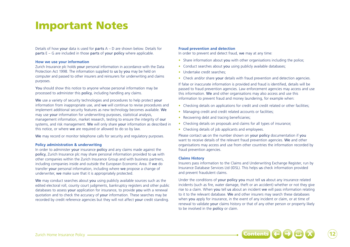## Important Notes

Details of how your data is used for parts  $A - D$  are shown below. Details for parts E – G are included in those parts of your policy where applicable.

### **How we use your information**

Zurich Insurance plc holds your personal information in accordance with the Data Protection Act 1998. The information supplied to us by you may be held on computer and passed to other insurers and reinsurers for underwriting and claims purposes.

You should show this notice to anyone whose personal information may be processed to administer this policy, including handling any claims.

We use a variety of security technologies and procedures to help protect your information from inappropriate use, and we will continue to revise procedures and implement additional security features as new technology becomes available. We may use your information for underwriting purposes, statistical analysis, management information, market research, testing to ensure the integrity of our systems, and risk management. We will only share your information as described in this notice, or where we are required or allowed to do so by law.

We may record or monitor telephone calls for security and regulatory purposes.

## **Policy administration & underwriting**

In order to administer your insurance policy and any claims made against the policy, Zurich Insurance plc may share personal information provided to us with other companies within the Zurich Insurance Group and with business partners, including companies inside and outside the European Economic Area. If we do transfer your personal information, including where we propose a change of underwriter, we make sure that it is appropriately protected.

We may conduct searches about you using publicly available sources such as the edited electoral roll, county court judgments, bankruptcy registers and other public databases to assess your application for insurance, to provide you with a renewal quotation and to check the accuracy of your information. These searches may be recorded by credit reference agencies but they will not affect your credit standing.

#### **Fraud prevention and detection**

In order to prevent and detect fraud, we may at any time:

- Share information about you with other organisations including the police:
- Conduct searches about you using publicly available databases:
- Undertake credit searches;
- Check and/or share your details with fraud prevention and detection agencies.

If false or inaccurate information is provided and fraud is identified, details will be passed to fraud prevention agencies. Law enforcement agencies may access and use this information. We and other organisations may also access and use this information to prevent fraud and money laundering, for example when:

- Checking details on applications for credit and credit related or other facilities;
- Managing credit and credit related accounts or facilities;
- Recovering debt and tracing beneficiaries:
- Checking details on proposals and claims for all types of insurance;
- Checking details of job applicants and employees.

Please contact us on the number shown on your policy documentation if you want to receive details of the relevant fraud prevention agencies. We and other organisations may access and use from other countries the information recorded by fraud prevention agencies.

#### **Claims History**

Insurers pass information to the Claims and Underwriting Exchange Register, run by Insurance Database Services Ltd (IDSL). This helps us check information provided and prevent fraudulent claims.

Under the conditions of your policy you must tell us about any insurance related incidents (such as fire, water damage, theft or an accident) whether or not they give rise to a claim. When you tell us about an incident we will pass information relating to it to the relevant database. We and other insurers may search these databases when you apply for insurance, in the event of any incident or claim, or at time of renewal to validate your claims history or that of any other person or property likely to be involved in the policy or claim.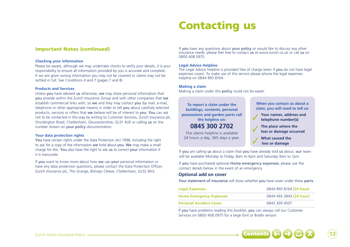## Contacting us

## Important Notes (continued)

### **Checking your information**

Please be aware, although we may undertake checks to verify your details, it is your responsibility to ensure all information provided by you is accurate and complete. If we are given wrong information you may not be covered or claims may not be settled in full. See Conditions 4 and 7 (pages 7 and 8)

## **Products and Services**

Unless you have advised us otherwise, we may share personal information that you provide within the Zurich Insurance Group and with other companies that we establish commercial links with, so we and they may contact you (by mail, e-mail, telephone or other appropriate means) in order to tell you about carefully selected products, services or offers that we believe will be of interest to you. You can ask not to be contacted in this way by writing to Customer Services, Zurich Insurance plc, Shurdington Road, Cheltenham, Gloucestershire, GL51 4UE or calling us on the number shown on your policy documentation.

### **Your data protection rights**

You have certain rights under the Data Protection Act 1998, including the right to ask for a copy of the information we hold about you. We may make a small charge for this. You also have the right to ask us to correct your information if it is inaccurate.

If you want to know more about how we use your personal information or have any data protection questions, please contact the Data Protection Officer, Zurich Insurance plc, The Grange, Bishops Cleeve, Cheltenham, GL52 8XX.

If you have any questions about your policy or would like to discuss any other insurance needs, please feel free to contact us at www.zurich.co.uk or call us on 0800 408 0975.

## **Legal Advice Helpline**

The Legal Advice helpline is provided free of charge (even if you do not have legal expenses cover). To make use of this service please phone the legal expenses helpline on 0844 893 8164.

### **Making a claim**

Making a claim under this policy could not be easier.

**To report a claim under the buildings, contents, personal possessions and garden parts call the helpline on: 0845 300 2702**

The claims helpline is available 24 hours a day, 365 days a year.

**When you contact us about a claim, you will need to tell us:** 

- Your names, address and<br>
telephone number(s)
- 
- **1** The place where the **loss or damage occurred**
- 3 **What caused the loss or damage**
	-

If you are calling us about a claim that you have already told us about, our team will be available Monday to Friday, 8am to 6pm and Saturday 9am to 1pm.

If you have purchased optional Home emergency expenses, please use the contact details below in the event of an emergency.

## **Optional add on cover**

Your statement of insurance will show whether you have cover under these parts.

| <b>Legal Expenses</b>          | 0844 893 8164 (24 hour) |
|--------------------------------|-------------------------|
| <b>Home Emergency Expenses</b> | 0844 493 2843 (24 hour) |
| <b>Personal Accident Cover</b> | 0843 309 4507           |

If you have problems reading this booklet, you can always call our Customer Services on 0800 408 0975 for a large font or Braille version.

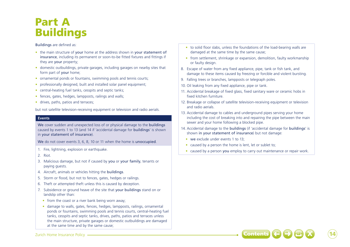## Part A Buildings

## Buildings are defined as:

- the main structure of your home at the address shown in your statement of insurance, including its permanent or soon-to-be fitted fixtures and fittings if they are your property;
- domestic outbuildings, private garages, including garages on nearby sites that form part of your home;
- ornamental ponds or fountains, swimming pools and tennis courts;
- professionally designed, built and installed solar panel equipment;
- central-heating fuel tanks, cesspits and septic tanks;
- fences, gates, hedges, lampposts, railings and walls;
- drives, paths, patios and terraces;

but not satellite television-receiving equipment or television and radio aerials.

## **Events**

We cover sudden and unexpected loss of or physical damage to the **buildings** caused by events 1 to 13 (and 14 if 'accidental damage for buildings' is shown in your statement of insurance).

We do not cover events 3, 6, 8, 10 or 11 when the home is unoccupied.

- 1. Fire, lightning, explosion or earthquake.
- 2. Riot.
- 3. Malicious damage, but not if caused by you or your family, tenants or paying guests.
- 4. Aircraft, animals or vehicles hitting the buildings.
- 5. Storm or flood, but not to fences, gates, hedges or railings.
- 6. Theft or attempted theft unless this is caused by deception.
- 7. Subsidence or ground heave of the site that your buildings stand on or landslip other than:
	- from the coast or a river bank being worn away;
	- damage to walls, gates, fences, hedges, lampposts, railings, ornamental ponds or fountains, swimming pools and tennis courts, central-heating fuel tanks, cesspits and septic tanks, drives, paths, patios and terraces unless the main structure, private garages or domestic outbuildings are damaged at the same time and by the same cause;
- to solid floor slabs, unless the foundations of the load-bearing walls are damaged at the same time by the same cause;
- from settlement, shrinkage or expansion, demolition, faulty workmanship or faulty design.
- 8. Escape of water from any fixed appliance, pipe, tank or fish tank, and damage to these items caused by freezing or forcible and violent bursting.
- 9. Falling trees or branches, lampposts or telegraph poles.
- 10. Oil leaking from any fixed appliance, pipe or tank.
- 11. Accidental breakage of fixed glass, fixed sanitary ware or ceramic hobs in fixed kitchen furniture.
- 12. Breakage or collapse of satellite television-receiving equipment or television and radio aerials.
- 13. Accidental damage to cables and underground pipes serving your home including the cost of breaking into and repairing the pipe between the main sewer and your home following a blocked pipe.
- 14. Accidental damage to the buildings (if 'accidental damage for buildings' is shown in your statement of insurance) but not damage:
	- we exclude under events 1 to 13;
	- caused by a person the home is lent, let or sublet to;
	- caused by a person you employ to carry out maintenance or repair work.

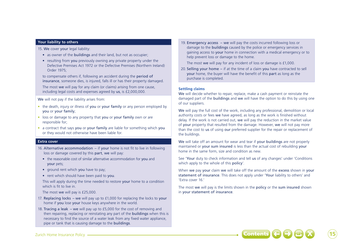## **Your liability to others**

15. We cover your legal liability:

- as owner of the buildings and their land, but not as occupier;
- resulting from you previously owning any private property under the Defective Premises Act 1972 or the Defective Premises (Northern Ireland) Order 1975;

to compensate others if, following an accident during the period of insurance, someone dies, is injured, falls ill or has their property damaged.

The most we will pay for any claim (or claims) arising from one cause, including legal costs and expenses agreed by us, is £2,000,000.

We will not pay if the liability arises from:

- the death, injury or illness of you or your family or any person employed by you or your family;
- loss or damage to any property that you or your family own or are responsible for;
- a contract that says you or your family are liable for something which you or they would not otherwise have been liable for.

## **Extra cover**

- 16. Alternative accommodation if your home is not fit to live in following loss or damage covered by this part, we will pay:
	- the reasonable cost of similar alternative accommodation for you and your pets;
	- ground rent which you have to pay;
	- rent which should have been paid to you.

This will apply during the time needed to restore your home to a condition which is fit to live in.

The most we will pay is £25,000.

- 17. Replacing locks we will pay up to £1,000 for replacing the locks to your home if you lose your house keys anywhere in the world.
- 18. Tracing a leak we will pay up to £5,000 for the cost of removing and then repairing, replacing or reinstating any part of the **buildings** when this is necessary to find the source of a water leak from any fixed water appliance, pipe or tank that is causing damage to the buildings.

19. Emergency access – we will pay the costs incurred following loss or damage to the buildings caused by the police or emergency services in gaining access to your home in connection with a medical emergency or to help prevent loss or damage to the home.

The most we will pay for any incident of loss or damage is £1,000.

20. Selling your home – if at the time of a claim you have contracted to sell your home, the buyer will have the benefit of this part as long as the purchase is completed.

## **Settling claims**

We will decide whether to repair, replace, make a cash payment or reinstate the damaged part of the buildings and we will have the option to do this by using one of our suppliers.

We will pay the full cost of the work, including any professional, demolition or local authority costs or fees we have agreed, as long as the work is finished without delay. If the work is not carried out, we will pay the reduction in the market value of your property that resulted from the damage. However, we will not pay more than the cost to us of using our preferred supplier for the repair or replacement of the buildings.

We will take off an amount for wear and tear if your buildings are not properly maintained or your sum insured is less than the actual cost of rebuilding your home in the same form, size and condition as new.

See 'Your duty to check information and tell us of any changes' under 'Conditions which apply to the whole of this policy'.

When we pay your claim we will take off the amount of the excess shown in your statement of insurance. This does not apply under 'Your liability to others' and 'Extra cover 16.'

The most we will pay is the limits shown in the policy or the sum insured shown in your statement of insurance.

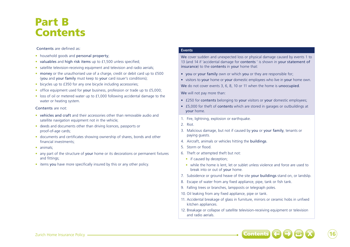## Part B **Contents**

## Contents are defined as:

- household goods and personal property;
- valuables and high risk items up to £1,500 unless specified;
- satellite television-receiving equipment and television and radio aerials;
- money or the unauthorised use of a charge, credit or debit card up to £500 (you and your family must keep to your card issuer's conditions);
- bicycles up to £350 for any one bicycle including accessories:
- office equipment used for your business, profession or trade up to £5,000;
- loss of oil or metered water up to £1,000 following accidental damage to the water or heating system.

## Contents are not:

- vehicles and craft and their accessories other than removable audio and satellite navigation equipment not in the vehicle;
- deeds and documents other than driving licences, passports or proof-of-age cards;
- documents and certificates showing ownership of shares, bonds and other financial investments;
- animals:
- any part of the structure of your home or its decorations or permanent fixtures and fittings;
- items you have more specifically insured by this or any other policy.

## **Events**

We cover sudden and unexpected loss or physical damage caused by events 1 to 13 (and 14 if 'accidental damage for contents ' is shown in your statement of insurance) to the contents in your home that:

- you or your family own or which you or they are responsible for;
- visitors to your home or your domestic employees who live in your home own. We do not cover events 3, 6, 8, 10 or 11 when the home is unoccupied.

We will not pay more than:

- £250 for contents belonging to your visitors or your domestic employees;
- £5,000 for theft of contents which are stored in garages or outbuildings at your home.
- 1. Fire, lightning, explosion or earthquake.
- 2. Riot.
- 3. Malicious damage, but not if caused by you or your family, tenants or paying guests.
- 4. Aircraft, animals or vehicles hitting the buildings.
- 5. Storm or flood.
- 6. Theft or attempted theft but not:
	- if caused by deception;
	- while the home is lent, let or sublet unless violence and force are used to break into or out of your home.
- 7. Subsidence or ground heave of the site your buildings stand on, or landslip.
- 8. Escape of water from any fixed appliance, pipe, tank or fish tank.
- 9. Falling trees or branches, lampposts or telegraph poles.
- 10. Oil leaking from any fixed appliance, pipe or tank.
- 11. Accidental breakage of glass in furniture, mirrors or ceramic hobs in unfixed kitchen appliances.
- 12. Breakage or collapse of satellite television-receiving equipment or television and radio aerials.

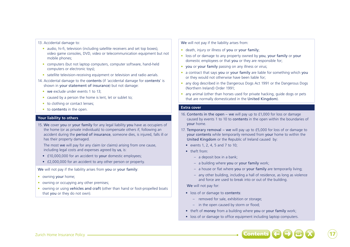### 13. Accidental damage to:

- audio, hi-fi, television (including satellite receivers and set top boxes), video game consoles, DVD, video or telecommunication equipment but not mobile phones;
- computers (but not laptop computers, computer software, hand-held computers or electronic toys);
- satellite television-receiving equipment or television and radio aerials.
- 14. Accidental damage to the contents (if 'accidental damage for contents' is shown in your statement of insurance) but not damage:
	- we exclude under events 1 to 13:
	- caused by a person the home is lent, let or sublet to;
	- to clothing or contact lenses;
	- to contents in the open.

## **Your liability to others**

15. We cover you or your family for any legal liability you have as occupiers of the home (or as private individuals) to compensate others if, following an accident during the period of insurance, someone dies, is injured, falls ill or has their property damaged.

The most we will pay for any claim (or claims) arising from one cause, including legal costs and expenses agreed by us, is:

- £10,000,000 for an accident to your domestic employees;
- £2,000,000 for an accident to any other person or property.

We will not pay if the liability arises from you or your family:

- owning your home;
- owning or occupying any other premises;
- owning or using vehicles and craft (other than hand or foot-propelled boats that you or they do not own).

We will not pay if the liability arises from:

- death, injury or illness of you or your family;
- loss of or damage to any property owned by you, your family or your domestic employees or that you or they are responsible for;
- you or your family passing on any illness or virus;
- a contract that says you or your family are liable for something which you or they would not otherwise have been liable for;
- any dog described in the Dangerous Dogs Act 1991 or the Dangerous Dogs (Northern Ireland) Order 1991;
- any animal (other than horses used for private hacking, guide dogs or pets that are normally domesticated in the United Kingdom).

## **Extra cover**

- 16. Contents in the open we will pay up to £1,000 for loss or damage caused by events 1 to 10 to contents in the open within the boundaries of your home.
- 17. Temporary removal we will pay up to £5,000 for loss of or damage to your contents while temporarily removed from your home to within the United Kingdom or the Republic of Ireland caused by:
	- events 1, 2, 4, 5 and 7 to 10;
	- theft from:
		- a deposit box in a bank;
		- a building where you or your family work;
		- a house or flat where you or your family are temporarily living;
		- any other building, including a hall of residence, as long as violence and force are used to break into or out of the building.

We will not pay for:

- loss of or damage to contents:
	- removed for sale, exhibition or storage;
	- in the open caused by storm or flood;
- theft of money from a building where you or your family work;
- loss of or damage to office equipment including laptop computers.

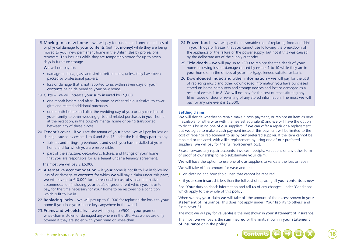18.Moving to a new home – we will pay for sudden and unexpected loss of or physical damage to your contents (but not money) while they are being moved to your new permanent home in the British Isles by professional removers. This includes while they are temporarily stored for up to seven days in furniture storage.

We will not pay for:

- damage to china, glass and similar brittle items, unless they have been packed by professional packers;
- loss or damage that is not reported to us within seven days of your contents being delivered to your new home.

19. Gifts – we will increase your sum insured by £5,000:

- one month before and after Christmas or other religious festival to cover gifts and related additional purchases;
- one month before and after the wedding day of you or any member of your family to cover wedding gifts and related purchases in your home, at the reception, in the couple's marital home or being transported between any of these places.
- 20.Tenant's cover if you are the tenant of your home, we will pay for loss or damage caused by events 1 to 6 and 8 to 13 under the buildings part to any:
	- fixtures and fittings, greenhouses and sheds you have installed at your home and for which you are responsible;
	- part of the structure, decorations, fixtures and fittings of your home that you are responsible for as a tenant under a tenancy agreement.

The most we will pay is £5,000.

- 21. Alternative accommodation if your home is not fit to live in following loss of or damage to contents for which we will pay a claim under this part, we will pay up to £10,000 for the reasonable cost of similar alternative accommodation (including your pets), or ground rent which you have to pay, for the time necessary for your home to be restored to a condition which is fit to live in.
- 22.Replacing locks we will pay up to £1,000 for replacing the locks to your home if you lose your house keys anywhere in the world.
- 23.Prams and wheelchairs we will pay up to £500 if your pram or wheelchair is stolen or damaged anywhere in the UK. Accessories are only covered if they are stolen with your pram or wheelchair.
- 24. Frozen food we will pay the reasonable cost of replacing food and drink in your fridge or freezer that you cannot use following the breakdown of the appliance or the failure of the power supply, but not if this was caused by the deliberate act of the supply authority.
- 25.Title deeds we will pay up to £500 to replace the title deeds of your home following loss or damage caused by events 1 to 10 while they are in your home or in the offices of your mortgage lender, solicitor or bank.
- 26.Downloaded music and other information we will pay for the cost of replacing music and other downloaded information you have purchased stored on home computers and storage devices and lost or damaged as a result of events 1 to 8. We will not pay for the cost of reconstituting any films, tapes or discs or rewriting of any stored information. The most we will pay for any one event is £2,500.

## **Settling claims**

We will decide whether to repair, make a cash payment, or replace an item as new if available (or otherwise with the nearest equivalent) and we will have the option to do this by using one of our suppliers. If we can offer a repair or a replacement but we agree to make a cash payment instead, this payment will be limited to the cost of repair or replacement to us by our preferred supplier. If the item cannot be repaired or replaced, with a like replacement by using one of our preferred suppliers, we will pay for the full replacement cost.

Please forward any repair accounts, invoices, receipts, valuations or any other form of proof of ownership to help substantiate your claim.

We will have the option to use one of our suppliers to validate the loss or repair.

We will take off an amount for wear and tear:

- on clothing and household linen that cannot be repaired;
- if your sum insured is less than the full cost of replacing all your contents as new.

See 'Your duty to check information and tell us of any changes' under 'Conditions which apply to the whole of this policy'.

When we pay your claim we will take off the amount of the excess shown in your statement of insurance. This does not apply under 'Your liability to others' and Extra cover 21.

The most we will pay for valuables is the limit shown in your statement of insurance.

The most we will pay is the sum insured or the limits shown in your statement of insurance or in the policy.



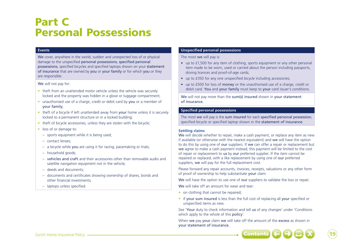## Part C Personal Possessions

## **Events**

We cover, anywhere in the world, sudden and unexpected loss of or physical damage to the unspecified personal possessions, specified personal possessions, specified bicycles and specified laptops shown on your statement of insurance that are owned by you or your family or for which you or they are responsible.

### We will not pay for:

- theft from an unattended motor vehicle unless the vehicle was securely locked and the property was hidden in a glove or luggage compartment;
- unauthorised use of a charge, credit or debit card by you or a member of your family;
- theft of a bicycle if left unattended away from your home unless it is securely locked to a permanent structure or in a locked building;
- theft of bicycle accessories, unless they are stolen with the bicycle;
- loss of or damage to:
	- sports equipment while it is being used;
	- contact lenses;
	- a bicycle while you are using it for racing, pacemaking or trials;
	- household goods;
	- vehicles and craft and their accessories other than removable audio and satellite navigation equipment not in the vehicle:
	- deeds and documents;
	- documents and certificates showing ownership of shares, bonds and other financial investments;
	- laptops unless specified.

## **Unspecified personal possessions**

The most we will pay is:

- up to £1,500 for any item of clothing, sports equipment or any other personal item made to be worn, used or carried about the person including passports, driving licences and proof-of-age cards;
- up to £350 for any one unspecified bicycle including accessories;
- up to £500 for loss of money or the unauthorised use of a charge, credit or debit card. You and your family must keep to your card issuer's conditions.

We will not pay more than the sum(s) insured shown in your statement of insurance.

## **Specified personal possessions**

The most we will pay is the sum insured for each specified personal possession, specified bicycle or specified laptop shown in the statement of insurance.

### **Settling claims**

We will decide whether to repair, make a cash payment, or replace any item as new if available (or otherwise with the nearest equivalent) and we will have the option to do this by using one of our suppliers. If we can offer a repair or replacement but we agree to make a cash payment instead, this payment will be limited to the cost of repair or replacement to us by our preferred supplier. If the item cannot be repaired or replaced, with a like replacement by using one of our preferred suppliers, we will pay for the full replacement cost.

Please forward any repair accounts, invoices, receipts, valuations or any other form of proof of ownership to help substantiate your claim.

We will have the option to use one of our suppliers to validate the loss or repair.

We will take off an amount for wear and tear:

- on clothing that cannot be repaired;
- if your sum insured is less than the full cost of replacing all your specified or unspecified items as new.

See 'Your duty to check information and tell us of any changes' under 'Conditions which apply to the whole of this **policy'**.

When we pay your claim we will take off the amount of the excess as shown in your statement of insurance.



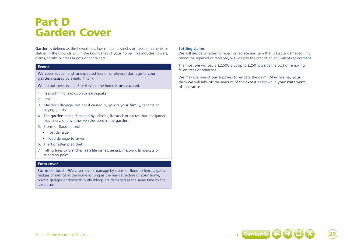## Part D Garden Cover

Garden is defined as the flowerbeds, lawns, plants, shrubs or trees, ornaments or statues in the grounds within the boundaries of your home. This includes flowers, plants, shrubs or trees in pots or containers.

## **Events**

We cover sudden and unexpected loss of or physical damage to your garden caused by events 1 to 7.

We do not cover events 3 or 6 when the home is unoccupied.

- 1. Fire, lightning, explosion or earthquake.
- 2. Riot.
- 3. Malicious damage, but not if caused by you or your family, tenants or paying guests.
- 4. The garden being damaged by vehicles, livestock or aircraft but not garden machinery, or any other vehicles used in the garden.
- 5. Storm or flood but not:
	- frost damage;
	- flood damage to lawns.
- 6. Theft or attempted theft.
- 7. Falling trees or branches, satellite dishes, aerials, masonry, lampposts or telegraph poles.

### **Extra cover**

Storm or flood – We cover loss or damage by storm or flood to fences, gates, hedges or railings at the home as long as the main structure of your home, private garages or domestic outbuildings are damaged at the same time by the same cause.

## **Settling claims**

We will decide whether to repair or replace any item that is lost or damaged. If it cannot be repaired or replaced, we will pay the cost of an equivalent replacement.

The most we will pay is £2,500 plus up to £250 towards the cost of removing fallen trees or branches.

We may use one of our suppliers to validate the claim. When we pay your claim we will take off the amount of the excess as shown in your statement of insurance.

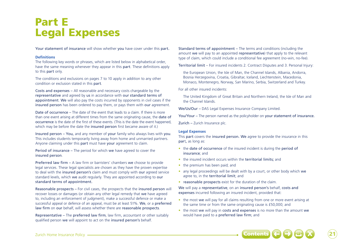## Part E Legal Expenses

Your statement of insurance will show whether you have cover under this part.

## **Definitions**

The following key words or phrases, which are listed below in alphabetical order, have the same meaning whenever they appear in this part. These definitions apply to this part only.

The conditions and exclusions on pages 7 to 10 apply in addition to any other condition or exclusion stated in this part.

Costs and expenses – All reasonable and necessary costs chargeable by the representative and agreed by us in accordance with our standard terms of appointment. We will also pay the costs incurred by opponents in civil cases if the insured person has been ordered to pay them, or pays them with our agreement.

Date of occurrence – The date of the event that leads to a claim. If there is more than one event arising at different times from the same originating cause, the date of occurrence is the date of the first of these events. (This is the date the event happened, which may be before the date the **insured person** first became aware of it.)

Insured person – You, and any member of your family who always lives with you. This includes students temporarily living away from home and unmarried partners. Anyone claiming under this part must have your agreement to claim.

Period of insurance – The period for which we have agreed to cover the insured person.

Preferred law firm – A law firm or barristers' chambers we choose to provide legal services. These legal specialists are chosen as they have the proven expertise to deal with the insured person's claim and must comply with our agreed service standard levels, which we audit regularly. They are appointed according to our standard terms of appointment.

Reasonable prospects – For civil cases, the prospects that the insured person will recover losses or damages (or obtain any other legal remedy that we have agreed to, including an enforcement of judgment), make a successful defence or make a successful appeal or defence of an appeal, must be at least 51%. We, or a preferred law firm on our behalf, will assess whether there are reasonable prospects.

Representative – The preferred law firm, law firm, accountant or other suitably qualified person we will appoint to act on the insured person's behalf.

Standard terms of appointment – The terms and conditions (including the amount we will pay to an appointed representative) that apply to the relevant type of claim, which could include a conditional fee agreement (no-win, no-fee).

Territorial limit – For insured incidents 2. Contract Disputes and 3. Personal Injury:

the European Union, the Isle of Man, the Channel Islands, Albania, Andorra, Bosnia Herzegovina, Croatia, Gibraltar, Iceland, Liechtenstein, Macedonia, Monaco, Montenegro, Norway, San Marino, Serbia, Switzerland and Turkey.

For all other insured incidents:

The United Kingdom of Great Britain and Northern Ireland, the Isle of Man and the Channel Islands.

We/Us/Our – DAS Legal Expenses Insurance Company Limited.

You/Your – The person named as the policyholder on your statement of insurance.

Zurich – Zurich Insurance plc.

## **Legal Expenses**

This part covers the insured person. We agree to provide the insurance in this part, as long as:

- the date of occurrence of the insured incident is during the period of insurance; and
- the insured incident occurs within the territorial limits; and
- the premium has been paid; and
- any legal proceedings will be dealt with by a court, or other body which we agree to, in the territorial limit; and
- reasonable prospects exist for the duration of the claim.

We will pay a representative, on an insured person's behalf, costs and expenses incurred following an insured incident, provided that:

- the most we will pay for all claims resulting from one or more event arising at the same time or from the same originating cause is £50,000; and
- the most we will pay in costs and expenses is no more than the amount we would have paid to a preferred law firm; and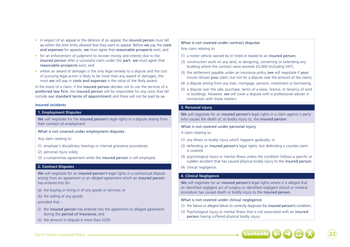- in respect of an appeal or the defence of an appeal, the insured person must tell us within the time limits allowed that they want to appeal. Before we pay the costs and expenses for appeals, we must agree that reasonable prospects exist; and
- for an enforcement of judgment to recover money and interest due to the insured person after a successful claim under this part, we must agree that reasonable prospects exist; and
- where an award of damages is the only legal remedy to a dispute and the cost of pursuing legal action is likely to be more than any award of damages, the most we will pay in costs and expenses is the value of the likely award.

In the event of a claim, if the insured person decides not to use the services of a preferred law firm, the insured person will be responsible for any costs that fall outside our standard terms of appointment and these will not be paid by us.

## **Insured incidents**

## **1. Employment Disputes**

We will negotiate for the insured person's legal rights in a dispute arising from their contract of employment

What is not covered under employment disputes

Any claim relating to:

- (1) employer's disciplinary hearings or internal grievance procedures;
- (2) personal injury solely;
- (3) a compromise agreement while the insured person is still employed.

## **2. Contract Disputes**

We will negotiate for an insured person's legal rights in a contractual dispute arising from an agreement or an alleged agreement which an insured person has entered into for:

- (a) the buying or hiring in of any goods or services; or
- (b) the selling of any goods;

provided that –

- (i) the insured person has entered into the agreement or alleged agreement during the period of insurance; and
- (ii) the amount in dispute is more than £250.

## What is not covered under contract disputes Any claim relating to:

- (1) a motor vehicle owned by or hired or leased to an insured person;
- (2) construction work on any land, or designing, converting or extending any building where the contract value exceeds £5,000 (including VAT);
- (3) the settlement payable under an insurance policy (we will negotiate if your insurer refuses your claim, but not for a dispute over the amount of the claim);
- (4) a dispute arising from any loan, mortgage, pension, investment or borrowing.
- (5) a dispute over the sale, purchase, terms of a lease, licence, or tenancy of land or buildings. However, we will cover a dispute with a professional adviser in connection with these matters.

## **3. Personal injury**

We will negotiate for an insured person's legal rights in a claim against a party who causes the death of, or bodily injury to, the insured person.

What is not covered under personal injury

A claim relating to:

- (1) any illness or bodily injury which happens gradually; or
- (2) defending an insured person's legal rights, but defending a counter-claim is covered:
- (3) psychological injury or mental illness unless the condition follows a specific or sudden accident that has caused physical bodily injury to the insured person:

### (4) clinical negligence.

## **4. Clinical Negligence**

We will negotiate for an insured person's legal rights where it is alleged that an identified negligent act of surgery or identified negligent clinical or medical procedure has caused death or bodily injury to the insured person.

## What is not covered under clinical negligence

- (1) the failure or alleged failure to correctly diagnose the insured person's condition;
- (2) Psychological injury or mental illness that is not associated with an insured person having suffered physical bodily injury.



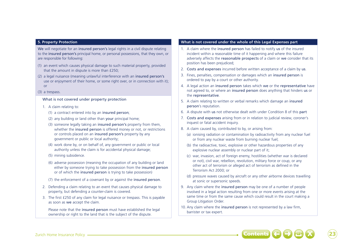## **5. Property Protection**

We will negotiate for an insured person's legal rights in a civil dispute relating to the insured person's principal home, or personal possessions, that they own, or are responsible for following:

- (1) an event which causes physical damage to such material property, provided that the amount in dispute is more than £250;
- (2) a legal nuisance (meaning unlawful interference with an insured person's use or enjoyment of their home, or some right over, or in connection with it); or

#### (3) a trespass.

### What is not covered under property protection

- 1. A claim relating to:
	- (1) a contract entered into by an insured person;
	- (2) any building or land other than your principal home;
	- (3) someone legally taking an insured person's property from them, whether the **insured person** is offered money or not, or restrictions or controls placed on an insured person's property by any government or public or local authority;
	- (4) work done by, or on behalf of, any government or public or local authority unless the claim is for accidental physical damage;
	- (5) mining subsidence.
	- (6) adverse possession (meaning the occupation of any building or land either by someone trying to take possession from the insured person or of which the insured person is trying to take possession)
	- (7) the enforcement of a covenant by or against the insured person.
- 2. Defending a claim relating to an event that causes physical damage to property, but defending a counter-claim is covered.
- 3. The first £250 of any claim for legal nuisance or trespass. This is payable as soon as we accept the claim.

Please note that the **insured person** must have established the legal ownership or right to the land that is the subject of the dispute.

## **What is not covered under the whole of this Legal Expenses part**

- 1. A claim where the insured person has failed to notify us of the insured incident within a reasonable time of it happening and where this failure adversely affects the reasonable prospects of a claim or we consider that its position has been prejudiced;
- 2. Costs and expenses incurred before written acceptance of a claim by us.
- 3. Fines, penalties, compensation or damages which an insured person is ordered to pay by a court or other authority.
- 4. A legal action an insured person takes which we or the representative have not agreed to, or where an insured person does anything that hinders us or the representative.
- 5. A claim relating to written or verbal remarks which damage an insured person's reputation.
- 6. A dispute with us not otherwise dealt with under Condition 8 of this part
- 7. Costs and expenses arising from or in relation to judicial review, coroner's inquest or fatal accident inquiry.
- 8. A claim caused by, contributed to by, or arising from:
	- (a) ionising radiation or contamination by radioactivity from any nuclear fuel or from any nuclear waste from burning nuclear fuel;
	- (b) the radioactive, toxic, explosive or other hazardous properties of any explosive nuclear assembly or nuclear part of it;
	- (c) war, invasion, act of foreign enemy, hostilities (whether war is declared or not), civil war, rebellion, revolution, military force or coup, or any other act of terrorism or alleged act of terrorism as defined in the Terrorism Act 2000; or
	- (d) pressure waves caused by aircraft or any other airborne devices travelling at sonic or supersonic speeds.
- 9. Any claim where the insured person may be one of a number of people involved in a legal action resulting from one or more events arising at the same time or from the same cause which could result in the court making a Group Litigation Order.
- 10. Any claim where the insured person is not represented by a law firm, barrister or tax expert.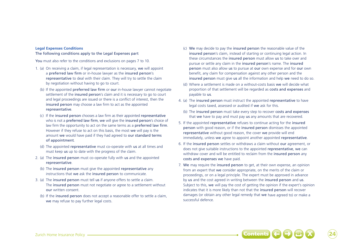### **Legal Expenses Conditions**

### The following conditions apply to the Legal Expenses part

You must also refer to the conditions and exclusions on pages 7 to 10.

- 1. (a) On receiving a claim, if legal representation is necessary, we will appoint a preferred law firm or in-house lawyer as the insured person's representative to deal with their claim. They will try to settle the claim by negotiation without having to go to court.
	- (b) If the appointed preferred law firm or our in-house lawyer cannot negotiate settlement of the insured person's claim and it is necessary to go to court and legal proceedings are issued or there is a conflict of interest, then the insured person may choose a law firm to act as the appointed representative.
	- (c) If the insured person chooses a law firm as their appointed representative who is not a preferred law firm, we will give the insured person's choice of law firm the opportunity to act on the same terms as a preferred law firm. However if they refuse to act on this basis, the most we will pay is the amount we would have paid if they had agreed to our standard terms of appointment.
	- (d) The appointed representative must co-operate with us at all times and must keep us up to date with the progress of the claim.
- 2. (a) The insured person must co-operate fully with us and the appointed representative.
	- (b) The insured person must give the appointed representative any instructions that we ask the insured person to communicate.
- 3. (a) The insured person must tell us if anyone offers to settle a claim. The insured person must not negotiate or agree to a settlement without our written consent.
	- (b) If the insured person does not accept a reasonable offer to settle a claim, we may refuse to pay further legal costs.
- (c) We may decide to pay the insured person the reasonable value of the insured person's claim, instead of starting or continuing legal action. In these circumstances the insured person must allow us to take over and pursue or settle any claim in the insured person's name. The insured person must also allow us to pursue at our own expense and for our own benefit, any claim for compensation against any other person and the insured person must give us all the information and help we need to do so.
- (d) Where a settlement is made on a without-costs basis we will decide what proportion of that settlement will be regarded as costs and expenses and payable to us.
- 4. (a) The insured person must instruct the appointed representative to have legal costs taxed, assessed or audited if we ask for this.
- (b) The insured person must take every step to recover costs and expenses that we have to pay and must pay us any amounts that are recovered.
- 5. If the appointed representative refuses to continue acting for the insured person with good reason, or if the insured person dismisses the appointed representative without good reason, the cover we provide will end immediately, unless we agree to appoint another appointed representative.
- 6. If the insured person settles or withdraws a claim without our agreement, or does not give suitable instructions to the appointed representative, we can withdraw cover and will be entitled to reclaim from the insured person any costs and expenses we have paid.
- 7. We may require the insured person to get, at their own expense, an opinion from an expert that we consider appropriate, on the merits of the claim or proceedings, or on a legal principle. The expert must be approved in advance by us and the cost agreed in writing between the insured person and us. Subject to this, we will pay the cost of getting the opinion if the expert's opinion indicates that it is more likely than not that the insured person will recover damages (or obtain any other legal remedy that we have agreed to) or make a successful defence.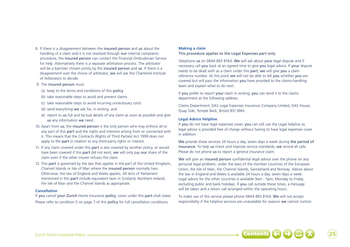8. If there is a disagreement between the insured person and us about the handling of a claim and it is not resolved through our internal complaints procedure, the insured person can contact the Financial Ombudsman Service for help. Alternatively there is a separate arbitration process. The arbitrator will be a barrister chosen jointly by the insured person and us. If there is a disagreement over the choice of arbitrator, we will ask the Chartered Institute of Arbitrators to decide.

#### 9. The insured person must:

- (a) keep to the terms and conditions of this policy
- (b) take reasonable steps to avoid and prevent claims
- (c) take reasonable steps to avoid incurring unnecessary costs
- (d) send everything we ask for, in writing, and
- (e) report to us full and factual details of any claim as soon as possible and give us any information we need.
- 10. Apart from us, the insured person is the only person who may enforce all or any part of this part and the rights and interests arising from or connected with it. This means that the Contracts (Rights of Third Parties) Act 1999 does not apply to the **part** in relation to any third-party rights or interest.
- 11. If any claim covered under this part is also covered by another policy, or would have been covered if this part did not exist, we will only pay our share of the claim even if the other insurer refuses the claim.
- 12. This part is governed by the law that applies in the part of the United Kingdom, Channel Islands or Isle of Man where the insured person normally lives. Otherwise, the law of England and Wales applies. All Acts of Parliament mentioned in this part include equivalent laws in Scotland, Northern Ireland, the Isle of Man and the Channel Islands as appropriate.

#### **Cancellation**

If you cancel your Zurich Home Insurance policy, cover under this part shall cease. Please refer to condition 5 on page 7 of this policy for full cancellation conditions.

## **Making a claim**

## This procedure applies to the Legal Expenses part only

Telephone us on 0844 893 8164. We will ask about your legal dispute and if necessary call you back at an agreed time to give you legal advice. If your dispute needs to be dealt with as a claim under this part, we will give you a claim reference number. At this point we will not be able to tell you whether you are covered but will pass the information you have provided to the claims-handling team and explain what to do next.

If you prefer to report your claim in writing, you can send it to the claims department at the following address:

Claims Department, DAS Legal Expenses Insurance Company Limited, DAS House, Quay Side, Temple Back, Bristol BS1 6NH.

## **Legal Advice Helpline**

If you do not have legal expenses cover, you can still use the Legal helpline as legal advice is provided free of charge without having to have legal expenses cover in addition.

We provide these services 24 hours a day, seven days a week during the period of insurance. To help us check and improve service standards, we record all calls. Please do not phone us to report a general insurance claim.

We will give an insured person confidential legal advice over the phone on any personal legal problem, under the laws of the member countries of the European Union, the Isle of Man, the Channel Islands, Switzerland and Norway. Advice about the law in England and Wales is available 24 hours a day, seven days a week. Legal advice for the other countries is available 9am - 5pm, Monday to Friday, excluding public and bank holidays. If you call outside these times, a message will be taken and a return call arranged within the operating hours.

To make use of this service please phone 0844 893 8164. We will not accept responsibility if the helpline services are unavailable for reasons we cannot control.

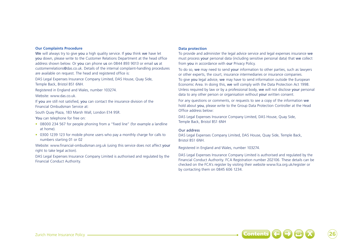### **Our Complaints Procedure**

We will always try to give you a high quality service. If you think we have let you down, please write to the Customer Relations Department at the head office address shown below. Or you can phone us on 0844 893 9013 or email us at customerrelations@das.co.uk. Details of the internal complaint-handling procedures are available on request. The head and registered office is:

DAS Legal Expenses Insurance Company Limited, DAS House, Quay Side, Temple Back, Bristol BS1 6NH.

Registered in England and Wales, number 103274.

Website: www.das.co.uk.

If you are still not satisfied, you can contact the insurance division of the Financial Ombudsman Service at:

South Quay Plaza, 183 Marsh Wall, London E14 9SR.

You can telephone for free on:

- 08000 234 567 for people phoning from a "fixed line" (for example a landline at home).
- 0300 1239 123 for mobile phone users who pay a monthly charge for calls to numbers starting 01 or 02

Website: www.financial-ombudsman.org.uk (using this service does not affect your right to take legal action).

DAS Legal Expenses Insurance Company Limited is authorised and regulated by the Financial Conduct Authority.

## **Data protection**

To provide and administer the legal advice service and legal expenses insurance we must process your personal data (including sensitive personal data) that we collect from you in accordance with our Privacy Policy.

To do so, we may need to send your information to other parties, such as lawyers or other experts, the court, insurance intermediaries or insurance companies. To give you legal advice, we may have to send information outside the European Economic Area. In doing this, we will comply with the Data Protection Act 1998. Unless required by law or by a professional body, we will not disclose your personal data to any other person or organisation without your written consent.

For any questions or comments, or requests to see a copy of the information we hold about you, please write to the Group Data Protection Controller at the Head Office address below:

DAS Legal Expenses Insurance Company Limited, DAS House, Quay Side, Temple Back, Bristol BS1 6NH

## Our address

DAS Legal Expenses Company Limited, DAS House, Quay Side, Temple Back, Bristol BS1 6NH.

Registered in England and Wales, number 103274.

DAS Legal Expenses Insurance Company Limited is authorised and regulated by the Financial Conduct Authority. FCA Registration number 202106. These details can be checked on the FCA's register by visiting their website www.fca.org.uk/register or by contacting them on 0845 606 1234.

Zurich Home Insurance Policy ➜ X ➜ Contents 26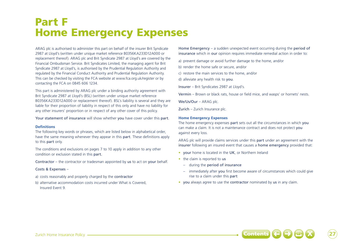## Part F Home Emergency Expenses

ARAG plc is authorised to administer this part on behalf of the insurer Brit Syndicate 2987 at Lloyd's (written under unique market reference B0356KA233D12A000 or replacement thereof). ARAG plc and Brit Syndicate 2987 at Lloyd's are covered by the Financial Ombudsman Service. Brit Syndicates Limited, the managing agent for Brit Syndicate 2987 at Lloyd's, is authorised by the Prudential Regulation Authority and regulated by the Financial Conduct Authority and Prudential Regulation Authority. This can be checked by visiting the FCA website at www.fca.org.uk/register or by contacting the FCA on 0845 606 1234.

This part is administered by ARAG plc under a binding authority agreement with Brit Syndicate 2987 at Lloyd's (BSL) (written under unique market reference B0356KA233D12A000 or replacement thereof). BSL's liability is several and they are liable for their proportion of liability in respect of this only and have no liability for any other insurers' proportion or in respect of any other cover of this policy.

Your statement of insurance will show whether you have cover under this part.

### **Definitions**

The following key words or phrases, which are listed below in alphabetical order, have the same meaning whenever they appear in this part. These definitions apply to this part only.

The conditions and exclusions on pages 7 to 10 apply in addition to any other condition or exclusion stated in this part.

Contractor – the contractor or tradesman appointed by us to act on your behalf.

## Costs & Expenses –

- a) costs reasonably and properly charged by the contractor
- b) alternative accommodation costs incurred under What is Covered, Insured Event 9.

Home Emergency – a sudden unexpected event occurring during the period of insurance which in our opinion requires immediate remedial action in order to:

- a) prevent damage or avoid further damage to the home, and/or
- b) render the home safe or secure, and/or
- c) restore the main services to the home, and/or
- d) alleviate any health risk to you.
- Insurer Brit Syndicates 2987 at Lloyd's.

Vermin – Brown or black rats, house or field mice, and wasps' or hornets' nests.

We/Us/Our – ARAG plc.

Zurich – Zurich Insurance plc.

## **Home Emergency Expenses**

The home emergency expenses part sets out all the circumstances in which you can make a claim. It is not a maintenance contract and does not protect you against every loss.

ARAG plc will provide claims services under this part under an agreement with the insurer following an insured event that causes a home emergency provided that:

- vour home is located in the UK, or Northern Ireland
- the claim is reported to us
	- during the period of insurance
	- immediately after you first become aware of circumstances which could give rise to a claim under this part
- you always agree to use the contractor nominated by us in any claim.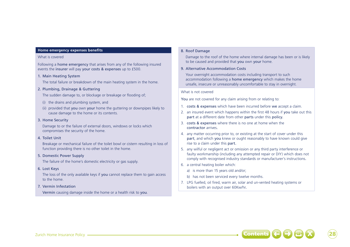### **Home emergency expenses benefits**

## What is covered

Following a home emergency that arises from any of the following insured events the insurer will pay your costs & expenses up to £500.

## 1. Main Heating System

The total failure or breakdown of the main heating system in the home.

## 2. Plumbing, Drainage & Guttering

The sudden damage to, or blockage or breakage or flooding of;

- (i) the drains and plumbing system, and
- (ii) provided that you own your home the guttering or downpipes likely to cause damage to the home or its contents.

## 3. Home Security

Damage to or the failure of external doors, windows or locks which compromises the security of the home.

### 4. Toilet Unit

Breakage or mechanical failure of the toilet bowl or cistern resulting in loss of function providing there is no other toilet in the home.

## 5. Domestic Power Supply

The failure of the home's domestic electricity or gas supply.

6. Lost Keys

The loss of the only available keys if you cannot replace them to gain access to the home.

## 7. Vermin Infestation

Vermin causing damage inside the home or a health risk to you.

## 8. Roof Damage

Damage to the roof of the home where internal damage has been or is likely to be caused and provided that you own your home.

## 9. Alternative Accommodation Costs

Your overnight accommodation costs including transport to such accommodation following a home emergency which makes the home unsafe, insecure or unreasonably uncomfortable to stay in overnight.

## What is not covered

You are not covered for any claim arising from or relating to:

- 1. costs & expenses which have been incurred before we accept a claim.
- 2. an insured event which happens within the first 48 hours if you take out this part at a different date from other parts under this policy.
- 3. costs & expenses where there is no one at home when the contractor arrives.
- 4. any matter occurring prior to, or existing at the start of cover under this part, and which you knew or ought reasonably to have known could give rise to a claim under this part.
- 5. any wilful or negligent act or omission or any third party interference or faulty workmanship (including any attempted repair or DIY) which does not comply with recognised industry standards or manufacturer's instructions.
- 6. a central heating boiler which:
	- a) is more than 15 years old and/or;
	- b) has not been serviced every twelve months.
- 7. LPG fuelled, oil fired, warm air, solar and un-vented heating systems or boilers with an output over 60Kw/hr.

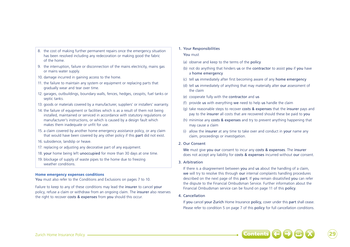- 8. the cost of making further permanent repairs once the emergency situation has been resolved including any redecoration or making good the fabric of the home.
- 9. the interruption, failure or disconnection of the mains electricity, mains gas or mains water supply.
- 10. damage incurred in gaining access to the home.
- 11. the failure to maintain any system or equipment or replacing parts that gradually wear and tear over time.
- 12. garages, outbuildings, boundary walls, fences, hedges, cesspits, fuel tanks or septic tanks.
- 13. goods or materials covered by a manufacturer, suppliers' or installers' warranty.
- 14. the failure of equipment or facilities which is as a result of them not being installed, maintained or serviced in accordance with statutory regulations or manufacturer's instructions, or which is caused by a design fault which makes them inadequate or unfit for use.
- 15. a claim covered by another home emergency assistance policy, or any claim that would have been covered by any other policy if this part did not exist.
- 16. subsidence, landslip or heave.
- 17. replacing or adjusting any decorative part of any equipment.
- 18. your home being left unoccupied for more than 30 days at one time.
- 19. blockage of supply of waste pipes to the home due to freezing weather conditions.

## **Home emergency expenses conditions**

You must also refer to the Conditions and Exclusions on pages 7 to 10.

Failure to keep to any of these conditions may lead the insurer to cancel your policy, refuse a claim or withdraw from an ongoing claim. The insurer also reserves the right to recover costs & expenses from you should this occur.

1. Your Responsibilities

## You must

- (a) observe and keep to the terms of the policy
- (b) not do anything that hinders us or the contractor to assist you if you have a home emergency
- (c) tell us immediately after first becoming aware of any home emergency
- (d) tell us immediately of anything that may materially alter our assessment of the claim
- (e) cooperate fully with the contractor and us
- (f) provide us with everything we need to help us handle the claim
- (g) take reasonable steps to recover costs & expenses that the insurer pays and pay to the insurer all costs that are recovered should these be paid to you
- (h) minimise any costs & expenses and try to prevent anything happening that may cause a claim
- (i) allow the insurer at any time to take over and conduct in your name any claim, proceedings or investigation.

## 2. Our Consent

We must give you our consent to incur any costs & expenses. The insurer does not accept any liability for costs & expenses incurred without our consent.

## 3. Arbitration

If there is a disagreement between you and us about the handling of a claim, we will try to resolve this through our internal complaints handling procedures described on the next page of this part. If you remain dissatisfied you can refer the dispute to the Financial Ombudsman Service. Further information about the Financial Ombudsman service can be found on page 11 of this policy.

4. Cancellation

If you cancel your Zurich Home Insurance policy, cover under this part shall cease. Please refer to condition 5 on page 7 of this policy for full cancellation conditions.

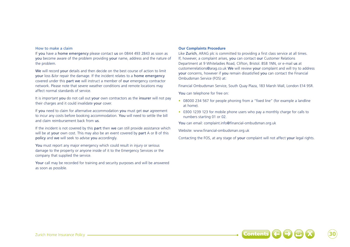### How to make a claim

If you have a home emergency please contact us on 0844 493 2843 as soon as you become aware of the problem providing your name, address and the nature of the problem.

We will record your details and then decide on the best course of action to limit your loss &/or repair the damage. If the incident relates to a home emergency covered under this part we will instruct a member of our emergency contractor network. Please note that severe weather conditions and remote locations may affect normal standards of service.

It is important you do not call out your own contractors as the insurer will not pay their charges and it could invalidate your cover.

If you need to claim for alternative accommodation you must get our agreement to incur any costs before booking accommodation. You will need to settle the bill and claim reimbursement back from us.

If the incident is not covered by this **part** then we can still provide assistance which will be at your own cost. This may also be an event covered by part A or B of this policy and we will seek to advise you accordingly.

You must report any major emergency which could result in injury or serious damage to the property or anyone inside of it to the Emergency Services or the company that supplied the service.

Your call may be recorded for training and security purposes and will be answered as soon as possible.

#### **Our Complaints Procedure**

Like Zurich, ARAG plc is committed to providing a first class service at all times. If, however, a complaint arises, you can contact our Customer Relations Department at 9 Whiteladies Road, Clifton, Bristol. BS8 1NN, or e-mail us at customerrelations@arag.co.uk We will review your complaint and will try to address your concerns, however if you remain dissatisfied you can contact the Financial Ombudsman Service (FOS) at:

Financial Ombudsman Service, South Quay Plaza, 183 Marsh Wall, London E14 9SR.

You can telephone for free on:

- 08000 234 567 for people phoning from a "fixed line" (for example a landline at home).
- 0300 1239 123 for mobile phone users who pay a monthly charge for calls to numbers starting 01 or 02.

You can email: complaint.info@financial-ombudsman.org.uk

Website: www.financial-ombudsman.org.uk

Contacting the FOS, at any stage of your complaint will not affect your legal rights.

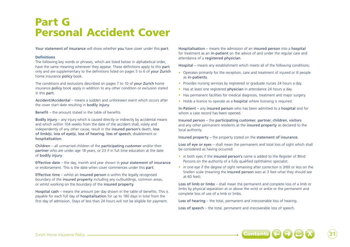## Part G Personal Accident Cover

Your statement of insurance will show whether you have cover under this part.

## **Definitions**

The following key words or phrases, which are listed below in alphabetical order, have the same meaning whenever they appear. These definitions apply to this part only and are supplementary to the definitions listed on pages 5 to 6 of your Zurich home insurance policy book.

The conditions and exclusions described on pages 7 to 10 of your Zurich home insurance policy book apply in addition to any other condition or exclusion stated in this part.

Accident/Accidental – means a sudden and unforeseen event which occurs after the cover start date resulting in bodily injury.

Benefit – the amount stated in the table of benefits.

Bodily injury – any injury which is caused directly or indirectly by accidental means and which within 104 weeks from the date of the accident shall, solely and independently of any other cause, result in the insured person's death, loss of limb(s), loss of eye(s), loss of hearing, loss of speech, disablement or hospitalisation.

Children – all unmarried children of the participating customer and/or their partner who are under age 18 years, or 23 if in full time education at the date of bodily injury.

Effective date – the day, month and year shown in your statement of insurance or endorsement. This is the date when cover commences under this part.

Effective time – whilst an insured person is within the legally recognised boundary of the insured property including any outbuildings, common areas, or whilst working on the boundary of the insured property.

Hospital cash – means the amount per day shown in the table of benefits. This is payable for each full day of hospitalisation for up to 180 days in total from the first day of admission. Stays of less than 24 hours will not be eligible for payment.

Hospitalisation – means the admission of an insured person into a hospital for treatment as an in-patient on the advice of and under the regular care and attendance of a registered physician.

Hospital – means any establishment which meets all of the following conditions;

- Operates primarily for the reception, care and treatment of injured or ill people as in-patients.
- Provides nursing services by registered or graduate nurses 24 hours a day.
- Has at least one registered **physician** in attendance 24 hours a day.
- Has permanent facilities for medical diagnosis, treatment and major surgery.
- Holds a licence to operate as a **hospital** where licensing is required.

In-Patient – any insured person who has been admitted to a hospital and for whom a case record has been opened.

Insured person – the participating customer, partner, children, visitors and any other permanent residents at the insured property as declared to the local authority.

Insured property – the property stated on the statement of insurance.

Loss of eye or eyes – shall mean the permanent and total loss of sight which shall be considered as having occurred:

- in both eyes if the insured person's name is added to the Register of Blind Persons on the authority of a fully qualified ophthalmic specialist.
- in one eye if the degree of sight remaining after correction is 3/60 or less on the Snellen scale (meaning the insured person sees at 3 feet what they should see at 60 feet).

Loss of limb or limbs – shall mean the permanent and complete loss of a limb or limbs by physical separation at or above the wrist or ankle or the permanent and complete loss of use of a limb or limbs.

Loss of hearing – the total, permanent and irrecoverable loss of hearing.

Loss of speech – the total, permanent and irrecoverable loss of speech.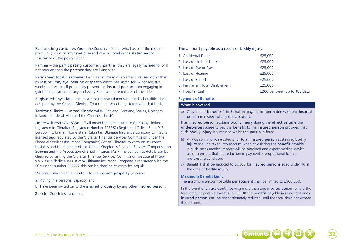Participating customer/You – the Zurich customer who has paid the required premium (including any taxes due) and who is noted in the statement of insurance as the policyholder.

Partner – the participating customer's partner they are legally married to; or if not married then the partner they are living with.

Permanent total disablement – this shall mean disablement, caused other than by loss of limb, eye, hearing or speech which has lasted for 52 consecutive weeks and will in all probability prevent the insured person from engaging in gainful employment of any and every kind for the remainder of their life.

Registered physician – means a medical practitioner with medical qualifications accepted by the General Medical Council and who is registered with that body.

Territorial limits – United Kingdom/UK (England, Scotland, Wales, Northern Ireland, the Isle of Man and the Channel Islands).

Underwriters/Us/Our/We – Shall mean Ultimate Insurance Company Limited registered in Gibraltar (Registered Number 103362) Registered Office, Suite 913, Europort, Gibraltar. Home State: Gibraltar. Ultimate Insurance Company Limited is licensed and regulated by the Gibraltar Financial Services Commission under the Financial Services (Insurance Companies) Act of Gibraltar to carry on insurance business and is a member of the United Kingdom's Financial Services Compensation Scheme and the Association of British Insurers (ABI). The companies details can be checked by visiting the Gibraltar Financial Services Commission website at http:// www.fsc.gi/fsclists/insulist.aspx Ultimate Insurance Company is registered with the FCA under number 522727 this can be checked at www.fca.org.uk

Visitors – shall mean all visitors to the insured property who are;

- a) Acting in a personal capacity, and
- b) Have been invited on to the insured property by any other insured person.

Zurich – Zurich Insurance plc.

### The amount payable as a result of bodily injury:

| 1. Accidental Death            | £25,000                      |
|--------------------------------|------------------------------|
| 2. Loss of Limb or Limbs       | £25,000                      |
| 3. Loss of Eye or Eyes         | £25,000                      |
| 4. Loss of Hearing             | £25.000                      |
| 5. Loss of Speech              | £25,000                      |
| 6. Permanent Total Disablement | £25.000                      |
| 7. Hospital Cash               | £200 per week up to 180 days |

## **Payment of Benefits**

#### **What is covered**

a) Only one of benefits 1 to 6 shall be payable in connection with one insured person in respect of any one accident.

If an insured person sustains bodily injury during the effective time the underwriters agree to pay the benefit to the insured person provided that such **bodily injury** is sustained whilst this **part** is in force.

- b) Any disability which existed prior to an insured person sustaining bodily injury shall be taken into account when calculating the benefit payable. In such cases medical reports will be obtained and expert medical advice used to ensure that the reduction in payment is proportional to the pre-existing condition.
- c) Benefit 1 shall be reduced to £7,500 for insured persons aged under 16 at the date of bodily injury.

### **Maximum Benefit Limit**

The maximum amount payable per accident shall be limited to £500,000.

In the event of an accident involving more than one insured person where the total amount payable exceeds £500,000 the benefit payable in respect of each insured person shall be proportionately reduced until the total does not exceed this amount.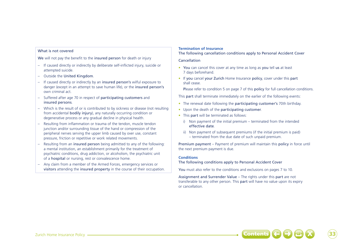## What is not covered

We will not pay the benefit to the insured person for death or injury

- If caused directly or indirectly by deliberate self-inflicted injury, suicide or attempted suicide.
- Outside the United Kingdom.
- If caused directly or indirectly by an insured person's wilful exposure to danger (except in an attempt to save human life), or the insured person's own criminal act.
- Suffered after age 70 in respect of participating customers and insured persons.
- Which is the result of or is contributed to by sickness or disease (not resulting from accidental bodily injury), any naturally occurring condition or degenerative process or any gradual decline in physical health.
- Resulting from inflammation or trauma of the tendon, muscle tendon junction and/or surrounding tissue of the hand or compression of the peripheral nerves serving the upper limb caused by over use, constant pressure, friction or repetitive or work related movements.
- Resulting from an insured person being admitted to any of the following: a mental institution, an establishment primarily for the treatment of psychiatric conditions, drug addiction, or alcoholism, the psychiatric unit of a hospital or nursing, rest or convalescence home.
- Any claim from a member of the Armed Forces, emergency services or visitors attending the insured property in the course of their occupation.

## **Termination of Insurance**

## The following cancellation conditions apply to Personal Accident Cover

## Cancellation

- You can cancel this cover at any time as long as you tell us at least 7 days beforehand.
- If you cancel your Zurich Home Insurance policy, cover under this part shall cease.

Please refer to condition 5 on page 7 of this policy for full cancellation conditions.

This part shall terminate immediately on the earlier of the following events:

- The renewal date following the participating customer's 70th birthday.
- Upon the death of the participating customer.
- This part will be terminated as follows:
	- i) Non payment of the initial premium terminated from the intended effective date.
	- ii) Non payment of subsequent premiums (if the initial premium is paid) – terminated from the due date of such unpaid premium.

Premium payment – Payment of premium will maintain this policy in force until the next premium payment is due.

## **Conditions**

The following conditions apply to Personal Accident Cover

You must also refer to the conditions and exclusions on pages 7 to 10.

Assignment and Surrender Value – The rights under this part are not transferable to any other person. This part will have no value upon its expiry or cancellation.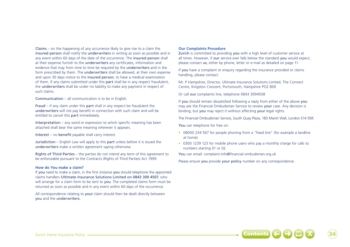Claims – on the happening of any occurrence likely to give rise to a claim the insured person shall notify the underwriters in writing as soon as possible and in any event within 60 days of the date of the occurrence. The insured person shall at their expense furnish to the underwriters any certificates, information and evidence that may from time to time be required by the underwriters and in the form prescribed by them. The underwriters shall be allowed, at their own expense and upon 30 days notice to the insured person, to have a medical examination of them. If any claims submitted under this part shall be in any respect fraudulent, the underwriters shall be under no liability to make any payment in respect of such claims.

Communication – all communication is to be in English.

Fraud – if any claim under this part shall in any respect be fraudulent the underwriters will not pay benefit in connection with such claim and will be entitled to cancel this part immediately.

Interpretation – any word or expression to which specific meaning has been attached shall bear the same meaning wherever it appears.

Interest – no benefit payable shall carry interest.

Jurisdiction – English Law will apply to this part unless before it is issued the underwriters make a written agreement saying otherwise.

Rights of Third Parties – the parties do not intend any term of this agreement to be enforceable pursuant to the Contracts (Rights of Third Parties) Act 1999.

### **How do You make a claim?**

If you need to make a claim, in the first instance you should telephone the appointed claims handlers Ultimate Insurance Solutions Limited on 0843 309 4507, who will arrange for a claim form to be sent to you. The completed claims form must be returned as soon as possible and in any event within 60 days of the occurrence.

All correspondence relating to your claim should then be dealt directly between you and the underwriters.

## **Our Complaints Procedure**

Zurich is committed to providing you with a high level of customer service at all times. However, if our service ever falls below the standard you would expect, please contact us, either by phone, letter or e-mail as detailed on page 11.

If you have a complaint or enquiry regarding the insurance provided or claims handling, please contact:

Mr. P Hampshire, Director, Ultimate Insurance Solutions Limited, The Connect Centre, Kingston Crescent, Portsmouth, Hampshire PO2 8DE

Or call our complaints line, telephone 0843 3094508

If you should remain dissatisfied following a reply from either of the above you may ask the Financial Ombudsman Service to review your case. Any decision is binding, but you may reject it without affecting your legal rights.

The Financial Ombudsman Service, South Quay Plaza, 183 Marsh Wall, London E14 9SR.

You can telephone for free on:

- 08000 234 567 for people phoning from a "fixed line" (for example a landline at home).
- 0300 1239 123 for mobile phone users who pay a monthly charge for calls to numbers starting 01 or 02.

You can email: complaint.info@financial-ombudsman.org.uk

Please ensure you provide your policy number on any correspondence.